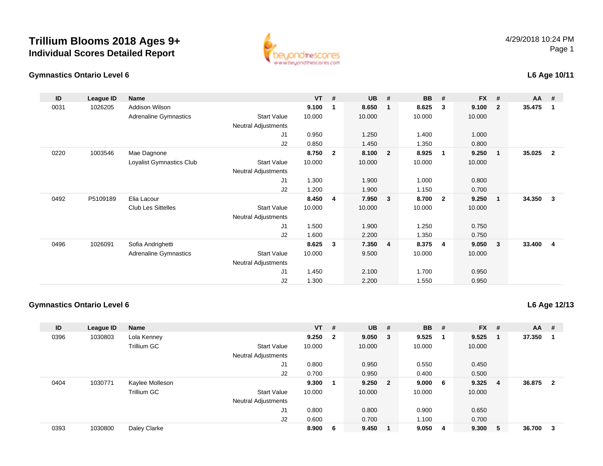

#### **Gymnastics Ontario Level 6**

| L6 Age 10/11 |
|--------------|
|--------------|

| ID   | League ID | Name                         |                     | $VT$ # |                | <b>UB</b> | #              | <b>BB</b> | #                       | <b>FX</b> | #            | $AA$ # |                |
|------|-----------|------------------------------|---------------------|--------|----------------|-----------|----------------|-----------|-------------------------|-----------|--------------|--------|----------------|
| 0031 | 1026205   | <b>Addison Wilson</b>        |                     | 9.100  | 1              | 8.650     |                | 8.625     | 3                       | 9.100     | $\mathbf{2}$ | 35.475 | 1              |
|      |           | Adrenaline Gymnastics        | <b>Start Value</b>  | 10.000 |                | 10.000    |                | 10.000    |                         | 10.000    |              |        |                |
|      |           |                              | Neutral Adjustments |        |                |           |                |           |                         |           |              |        |                |
|      |           |                              | J1                  | 0.950  |                | 1.250     |                | 1.400     |                         | 1.000     |              |        |                |
|      |           |                              | J2                  | 0.850  |                | 1.450     |                | 1.350     |                         | 0.800     |              |        |                |
| 0220 | 1003546   | Mae Dagnone                  |                     | 8.750  | $\overline{2}$ | 8.100     | $\overline{2}$ | 8.925     | - 1                     | 9.250     | $\mathbf 1$  | 35.025 | $\overline{2}$ |
|      |           | Loyalist Gymnastics Club     | <b>Start Value</b>  | 10.000 |                | 10.000    |                | 10.000    |                         | 10.000    |              |        |                |
|      |           |                              | Neutral Adjustments |        |                |           |                |           |                         |           |              |        |                |
|      |           |                              | J1                  | 1.300  |                | 1.900     |                | 1.000     |                         | 0.800     |              |        |                |
|      |           |                              | J2                  | 1.200  |                | 1.900     |                | 1.150     |                         | 0.700     |              |        |                |
| 0492 | P5109189  | Elia Lacour                  |                     | 8.450  | 4              | 7.950     | $\mathbf{3}$   | 8.700     | $\overline{\mathbf{2}}$ | 9.250     | $\mathbf 1$  | 34.350 | 3              |
|      |           | <b>Club Les Sittelles</b>    | <b>Start Value</b>  | 10.000 |                | 10.000    |                | 10.000    |                         | 10.000    |              |        |                |
|      |           |                              | Neutral Adjustments |        |                |           |                |           |                         |           |              |        |                |
|      |           |                              | J <sub>1</sub>      | 1.500  |                | 1.900     |                | 1.250     |                         | 0.750     |              |        |                |
|      |           |                              | J2                  | 1.600  |                | 2.200     |                | 1.350     |                         | 0.750     |              |        |                |
| 0496 | 1026091   | Sofia Andrighetti            |                     | 8.625  | 3              | 7.350     | $\overline{4}$ | 8.375     | $\overline{\mathbf{4}}$ | 9.050     | $\mathbf{3}$ | 33.400 | 4              |
|      |           | <b>Adrenaline Gymnastics</b> | <b>Start Value</b>  | 10.000 |                | 9.500     |                | 10.000    |                         | 10.000    |              |        |                |
|      |           |                              | Neutral Adjustments |        |                |           |                |           |                         |           |              |        |                |
|      |           |                              | J1                  | 1.450  |                | 2.100     |                | 1.700     |                         | 0.950     |              |        |                |
|      |           |                              | J2                  | 1.300  |                | 2.200     |                | 1.550     |                         | 0.950     |              |        |                |

#### **Gymnastics Ontario Level 6**

**L6 Age 12/13**

| ID   | League ID | <b>Name</b>     |                            | <b>VT</b> | #                       | $UB$ #  | <b>BB</b> | # | $FX$ # |                | AA     | #              |
|------|-----------|-----------------|----------------------------|-----------|-------------------------|---------|-----------|---|--------|----------------|--------|----------------|
| 0396 | 1030803   | Lola Kenney     |                            | 9.250     | $\overline{\mathbf{2}}$ | 9.050 3 | 9.525     |   | 9.525  | - 1            | 37.350 |                |
|      |           | Trillium GC     | <b>Start Value</b>         | 10.000    |                         | 10.000  | 10.000    |   | 10.000 |                |        |                |
|      |           |                 | <b>Neutral Adjustments</b> |           |                         |         |           |   |        |                |        |                |
|      |           |                 | J1                         | 0.800     |                         | 0.950   | 0.550     |   | 0.450  |                |        |                |
|      |           |                 | J2                         | 0.700     |                         | 0.950   | 0.400     |   | 0.500  |                |        |                |
| 0404 | 1030771   | Kaylee Molleson |                            | 9.300     |                         | 9.250 2 | 9.000     | 6 | 9.325  | - 4            | 36.875 | $\overline{2}$ |
|      |           | Trillium GC     | <b>Start Value</b>         | 10.000    |                         | 10.000  | 10.000    |   | 10.000 |                |        |                |
|      |           |                 | <b>Neutral Adjustments</b> |           |                         |         |           |   |        |                |        |                |
|      |           |                 | J1                         | 0.800     |                         | 0.800   | 0.900     |   | 0.650  |                |        |                |
|      |           |                 | J2                         | 0.600     |                         | 0.700   | 1.100     |   | 0.700  |                |        |                |
| 0393 | 1030800   | Daley Clarke    |                            | 8.900     | 6                       | 9.450   | 9.050     | 4 | 9.300  | 5 <sub>2</sub> | 36.700 | - 3            |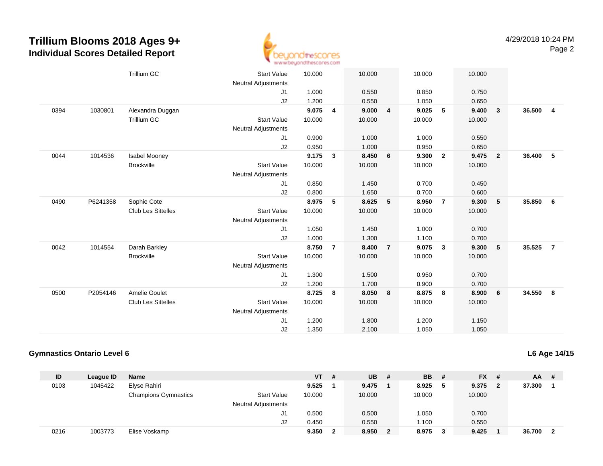

|      |          | <b>Trillium GC</b>        | <b>Start Value</b>         | 10.000 |                | 10.000 |                | 10.000 |                | 10.000 |                         |        |                         |
|------|----------|---------------------------|----------------------------|--------|----------------|--------|----------------|--------|----------------|--------|-------------------------|--------|-------------------------|
|      |          |                           | <b>Neutral Adjustments</b> |        |                |        |                |        |                |        |                         |        |                         |
|      |          |                           | J1                         | 1.000  |                | 0.550  |                | 0.850  |                | 0.750  |                         |        |                         |
|      |          |                           | J <sub>2</sub>             | 1.200  |                | 0.550  |                | 1.050  |                | 0.650  |                         |        |                         |
| 0394 | 1030801  | Alexandra Duggan          |                            | 9.075  | 4              | 9.000  | 4              | 9.025  | 5              | 9.400  | $\overline{\mathbf{3}}$ | 36.500 | $\overline{\mathbf{4}}$ |
|      |          | Trillium GC               | <b>Start Value</b>         | 10.000 |                | 10.000 |                | 10.000 |                | 10.000 |                         |        |                         |
|      |          |                           | <b>Neutral Adjustments</b> |        |                |        |                |        |                |        |                         |        |                         |
|      |          |                           | J1                         | 0.900  |                | 1.000  |                | 1.000  |                | 0.550  |                         |        |                         |
|      |          |                           | J2                         | 0.950  |                | 1.000  |                | 0.950  |                | 0.650  |                         |        |                         |
| 0044 | 1014536  | Isabel Mooney             |                            | 9.175  | $\mathbf{3}$   | 8.450  | 6              | 9.300  | $\mathbf{2}$   | 9.475  | $\overline{\mathbf{2}}$ | 36.400 | $-5$                    |
|      |          | <b>Brockville</b>         | <b>Start Value</b>         | 10.000 |                | 10.000 |                | 10.000 |                | 10.000 |                         |        |                         |
|      |          |                           | <b>Neutral Adjustments</b> |        |                |        |                |        |                |        |                         |        |                         |
|      |          |                           | J1                         | 0.850  |                | 1.450  |                | 0.700  |                | 0.450  |                         |        |                         |
|      |          |                           | J2                         | 0.800  |                | 1.650  |                | 0.700  |                | 0.600  |                         |        |                         |
| 0490 | P6241358 | Sophie Cote               |                            | 8.975  | 5              | 8.625  | 5              | 8.950  | $\overline{7}$ | 9.300  | $-5$                    | 35.850 | 6                       |
|      |          | <b>Club Les Sittelles</b> | <b>Start Value</b>         | 10.000 |                | 10.000 |                | 10.000 |                | 10.000 |                         |        |                         |
|      |          |                           | Neutral Adjustments        |        |                |        |                |        |                |        |                         |        |                         |
|      |          |                           | J1                         | 1.050  |                | 1.450  |                | 1.000  |                | 0.700  |                         |        |                         |
|      |          |                           | J2                         | 1.000  |                | 1.300  |                | 1.100  |                | 0.700  |                         |        |                         |
| 0042 | 1014554  | Darah Barkley             |                            | 8.750  | $\overline{7}$ | 8.400  | $\overline{7}$ | 9.075  | $\mathbf{3}$   | 9.300  | 5                       | 35.525 | $\overline{7}$          |
|      |          | <b>Brockville</b>         | <b>Start Value</b>         | 10.000 |                | 10.000 |                | 10.000 |                | 10.000 |                         |        |                         |
|      |          |                           | <b>Neutral Adjustments</b> |        |                |        |                |        |                |        |                         |        |                         |
|      |          |                           | J1                         | 1.300  |                | 1.500  |                | 0.950  |                | 0.700  |                         |        |                         |
|      |          |                           | J2                         | 1.200  |                | 1.700  |                | 0.900  |                | 0.700  |                         |        |                         |
| 0500 | P2054146 | Amelie Goulet             |                            | 8.725  | 8              | 8.050  | 8              | 8.875  | 8              | 8.900  | 6                       | 34.550 | 8                       |
|      |          | <b>Club Les Sittelles</b> | <b>Start Value</b>         | 10.000 |                | 10.000 |                | 10.000 |                | 10.000 |                         |        |                         |
|      |          |                           | <b>Neutral Adjustments</b> |        |                |        |                |        |                |        |                         |        |                         |
|      |          |                           | J1                         | 1.200  |                | 1.800  |                | 1.200  |                | 1.150  |                         |        |                         |
|      |          |                           | J2                         | 1.350  |                | 2.100  |                | 1.050  |                | 1.050  |                         |        |                         |
|      |          |                           |                            |        |                |        |                |        |                |        |                         |        |                         |

#### **Gymnastics Ontario Level 6**

**L6 Age 14/15**

| ID   | League ID | Name                        |                            | <b>VT</b> | # | <b>UB</b> | #            | <b>BB</b> # |   | $FX$ # |                         | <b>AA</b> | - # |
|------|-----------|-----------------------------|----------------------------|-----------|---|-----------|--------------|-------------|---|--------|-------------------------|-----------|-----|
| 0103 | 1045422   | Elyse Rahiri                |                            | 9.525     |   | 9.475     |              | 8.925       | 5 | 9.375  | $\overline{\mathbf{2}}$ | 37.300    |     |
|      |           | <b>Champions Gymnastics</b> | <b>Start Value</b>         | 10.000    |   | 10.000    |              | 10.000      |   | 10.000 |                         |           |     |
|      |           |                             | <b>Neutral Adjustments</b> |           |   |           |              |             |   |        |                         |           |     |
|      |           |                             | J1                         | 0.500     |   | 0.500     |              | 1.050       |   | 0.700  |                         |           |     |
|      |           |                             | J <sub>2</sub>             | 0.450     |   | 0.550     |              | 1.100       |   | 0.550  |                         |           |     |
| 0216 | 1003773   | Elise Voskamp               |                            | 9.350     |   | 8.950     | $\mathbf{2}$ | 8.975       | 3 | 9.425  |                         | 36.700    | - 2 |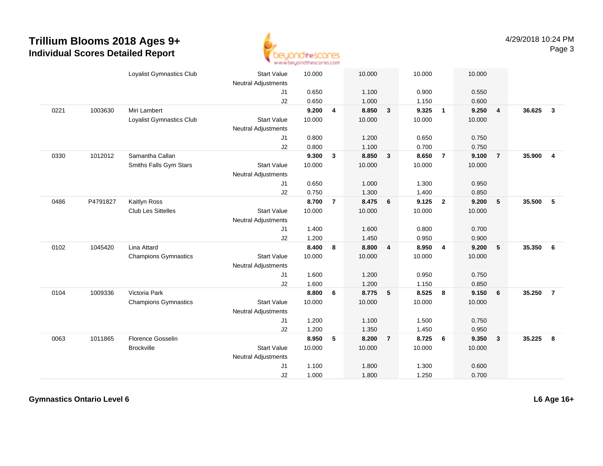

|      |          | Loyalist Gymnastics Club                  | <b>Start Value</b><br><b>Neutral Adjustments</b> | 10.000 |                | 10.000 |                         | 10.000 |                | 10.000         |                         |        |                         |
|------|----------|-------------------------------------------|--------------------------------------------------|--------|----------------|--------|-------------------------|--------|----------------|----------------|-------------------------|--------|-------------------------|
|      |          |                                           | J <sub>1</sub>                                   | 0.650  |                | 1.100  |                         | 0.900  |                | 0.550          |                         |        |                         |
|      |          |                                           | J2                                               | 0.650  |                | 1.000  |                         | 1.150  |                | 0.600          |                         |        |                         |
| 0221 | 1003630  | Miri Lambert                              |                                                  | 9.200  | 4              | 8.850  | $\mathbf{3}$            | 9.325  | $\overline{1}$ | 9.250          | $\overline{4}$          | 36.625 | $\overline{\mathbf{3}}$ |
|      |          | Loyalist Gymnastics Club                  | <b>Start Value</b>                               | 10.000 |                | 10.000 |                         | 10.000 |                | 10.000         |                         |        |                         |
|      |          |                                           | <b>Neutral Adjustments</b>                       |        |                |        |                         |        |                |                |                         |        |                         |
|      |          |                                           | J1                                               | 0.800  |                | 1.200  |                         | 0.650  |                | 0.750          |                         |        |                         |
|      |          |                                           | J2                                               | 0.800  |                | 1.100  |                         | 0.700  |                | 0.750          |                         |        |                         |
| 0330 | 1012012  | Samantha Callan                           |                                                  | 9.300  | 3              | 8.850  | $\mathbf{3}$            | 8.650  | $\overline{7}$ | 9.100          | $\overline{7}$          | 35.900 | $\overline{4}$          |
|      |          | Smiths Falls Gym Stars                    | <b>Start Value</b>                               | 10.000 |                | 10.000 |                         | 10.000 |                | 10.000         |                         |        |                         |
|      |          |                                           | <b>Neutral Adjustments</b>                       |        |                |        |                         |        |                |                |                         |        |                         |
|      |          |                                           | J1                                               | 0.650  |                | 1.000  |                         | 1.300  |                | 0.950          |                         |        |                         |
|      |          |                                           | J2                                               | 0.750  |                | 1.300  |                         | 1.400  |                |                |                         |        |                         |
| 0486 | P4791827 |                                           |                                                  | 8.700  | $\overline{7}$ | 8.475  | 6                       |        | $\overline{2}$ | 0.850<br>9.200 |                         | 35.500 | 5                       |
|      |          | Kaitlyn Ross<br><b>Club Les Sittelles</b> |                                                  |        |                |        |                         | 9.125  |                |                | 5                       |        |                         |
|      |          |                                           | <b>Start Value</b>                               | 10.000 |                | 10.000 |                         | 10.000 |                | 10.000         |                         |        |                         |
|      |          |                                           | <b>Neutral Adjustments</b>                       |        |                |        |                         |        |                |                |                         |        |                         |
|      |          |                                           | J <sub>1</sub>                                   | 1.400  |                | 1.600  |                         | 0.800  |                | 0.700          |                         |        |                         |
|      |          |                                           | J2                                               | 1.200  |                | 1.450  |                         | 0.950  |                | 0.900          |                         |        |                         |
| 0102 | 1045420  | Lina Attard                               |                                                  | 8.400  | 8              | 8.800  | $\overline{\mathbf{4}}$ | 8.950  | $\overline{4}$ | 9.200          | $\sqrt{5}$              | 35.350 | 6                       |
|      |          | <b>Champions Gymnastics</b>               | <b>Start Value</b>                               | 10.000 |                | 10.000 |                         | 10.000 |                | 10.000         |                         |        |                         |
|      |          |                                           | <b>Neutral Adjustments</b>                       |        |                |        |                         |        |                |                |                         |        |                         |
|      |          |                                           | J1                                               | 1.600  |                | 1.200  |                         | 0.950  |                | 0.750          |                         |        |                         |
|      |          |                                           | J2                                               | 1.600  |                | 1.200  |                         | 1.150  |                | 0.850          |                         |        |                         |
| 0104 | 1009336  | Victoria Park                             |                                                  | 8.800  | 6              | 8.775  | 5                       | 8.525  | 8              | 9.150          | $6\phantom{1}6$         | 35.250 | $\overline{7}$          |
|      |          | <b>Champions Gymnastics</b>               | <b>Start Value</b>                               | 10.000 |                | 10.000 |                         | 10.000 |                | 10.000         |                         |        |                         |
|      |          |                                           | <b>Neutral Adjustments</b>                       |        |                |        |                         |        |                |                |                         |        |                         |
|      |          |                                           | J1                                               | 1.200  |                | 1.100  |                         | 1.500  |                | 0.750          |                         |        |                         |
|      |          |                                           | J2                                               | 1.200  |                | 1.350  |                         | 1.450  |                | 0.950          |                         |        |                         |
| 0063 | 1011865  | Florence Gosselin                         |                                                  | 8.950  | 5              | 8.200  | $\overline{7}$          | 8.725  | 6              | 9.350          | $\overline{\mathbf{3}}$ | 35.225 | 8                       |
|      |          | <b>Brockville</b>                         | <b>Start Value</b>                               | 10.000 |                | 10.000 |                         | 10.000 |                | 10.000         |                         |        |                         |
|      |          |                                           | <b>Neutral Adjustments</b>                       |        |                |        |                         |        |                |                |                         |        |                         |
|      |          |                                           | J1                                               | 1.100  |                | 1.800  |                         | 1.300  |                | 0.600          |                         |        |                         |
|      |          |                                           | J2                                               | 1.000  |                | 1.800  |                         | 1.250  |                | 0.700          |                         |        |                         |
|      |          |                                           |                                                  |        |                |        |                         |        |                |                |                         |        |                         |

**Gymnastics Ontario Level 6**